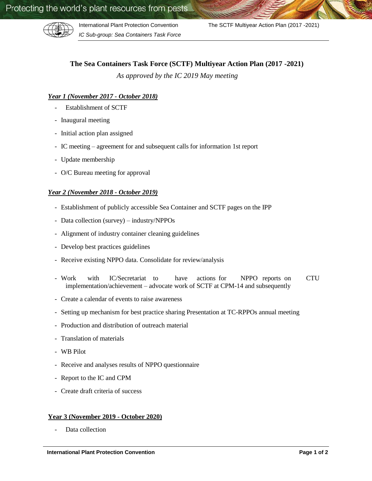

*IC Sub-group: Sea Containers Task Force*

International Plant Protection Convention The SCTF Multiyear Action Plan (2017 -2021)

# **The Sea Containers Task Force (SCTF) Multiyear Action Plan (2017 -2021)**

*As approved by the IC 2019 May meeting*

## *Year 1 (November 2017 - October 2018)*

- Establishment of SCTF
- Inaugural meeting
- Initial action plan assigned
- IC meeting agreement for and subsequent calls for information 1st report
- Update membership
- O/C Bureau meeting for approval

### *Year 2 (November 2018 - October 2019)*

- Establishment of publicly accessible Sea Container and SCTF pages on the IPP
- Data collection (survey) industry/NPPOs
- Alignment of industry container cleaning guidelines
- Develop best practices guidelines
- Receive existing NPPO data. Consolidate for review/analysis
- Work with IC/Secretariat to have actions for NPPO reports on CTU implementation/achievement – advocate work of SCTF at CPM-14 and subsequently
- Create a calendar of events to raise awareness
- Setting up mechanism for best practice sharing Presentation at TC-RPPOs annual meeting
- Production and distribution of outreach material
- Translation of materials
- WB Pilot
- Receive and analyses results of NPPO questionnaire
- Report to the IC and CPM
- Create draft criteria of success

#### **Year 3 (November 2019 - October 2020)**

Data collection